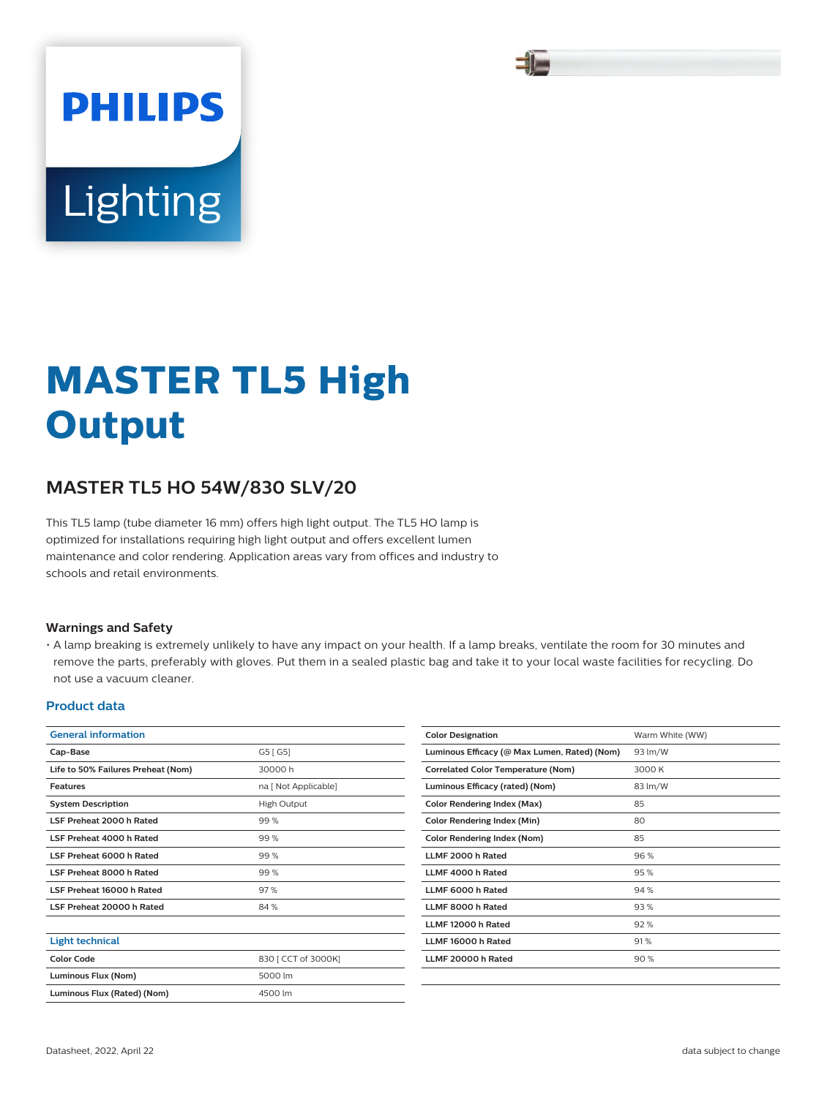

# Lighting

**PHILIPS** 

# **MASTER TL5 High Output**

# **MASTER TL5 HO 54W/830 SLV/20**

This TL5 lamp (tube diameter 16 mm) offers high light output. The TL5 HO lamp is optimized for installations requiring high light output and offers excellent lumen maintenance and color rendering. Application areas vary from offices and industry to schools and retail environments.

#### **Warnings and Safety**

• A lamp breaking is extremely unlikely to have any impact on your health. If a lamp breaks, ventilate the room for 30 minutes and remove the parts, preferably with gloves. Put them in a sealed plastic bag and take it to your local waste facilities for recycling. Do not use a vacuum cleaner.

#### **Product data**

| <b>General information</b>         |                      | <b>Color Designation</b>                     | Warm White (WW) |
|------------------------------------|----------------------|----------------------------------------------|-----------------|
| Cap-Base                           | G5 [G5]              | Luminous Efficacy (@ Max Lumen, Rated) (Nom) | 93 lm/W         |
| Life to 50% Failures Preheat (Nom) | 30000h               | <b>Correlated Color Temperature (Nom)</b>    | 3000 K          |
| <b>Features</b>                    | na [ Not Applicable] | Luminous Efficacy (rated) (Nom)              | 83 lm/W         |
| <b>System Description</b>          | High Output          | <b>Color Rendering Index (Max)</b>           | 85              |
| LSF Preheat 2000 h Rated           | 99%                  | <b>Color Rendering Index (Min)</b>           | 80              |
| LSF Preheat 4000 h Rated           | 99%                  | <b>Color Rendering Index (Nom)</b>           | 85              |
| LSF Preheat 6000 h Rated           | 99%                  | LLMF 2000 h Rated                            | 96%             |
| LSF Preheat 8000 h Rated           | 99%                  | LLMF 4000 h Rated                            | 95%             |
| LSF Preheat 16000 h Rated          | 97%                  | LLMF 6000 h Rated                            | 94%             |
| LSF Preheat 20000 h Rated          | 84 %                 | LLMF 8000 h Rated                            | 93%             |
|                                    |                      | LLMF 12000 h Rated                           | 92%             |
| <b>Light technical</b>             |                      | LLMF 16000 h Rated                           | 91%             |
| <b>Color Code</b>                  | 830 [ CCT of 3000K]  | LLMF 20000 h Rated                           | 90%             |
| Luminous Flux (Nom)                | 5000 lm              |                                              |                 |
| Luminous Flux (Rated) (Nom)        | 4500 lm              |                                              |                 |
|                                    |                      |                                              |                 |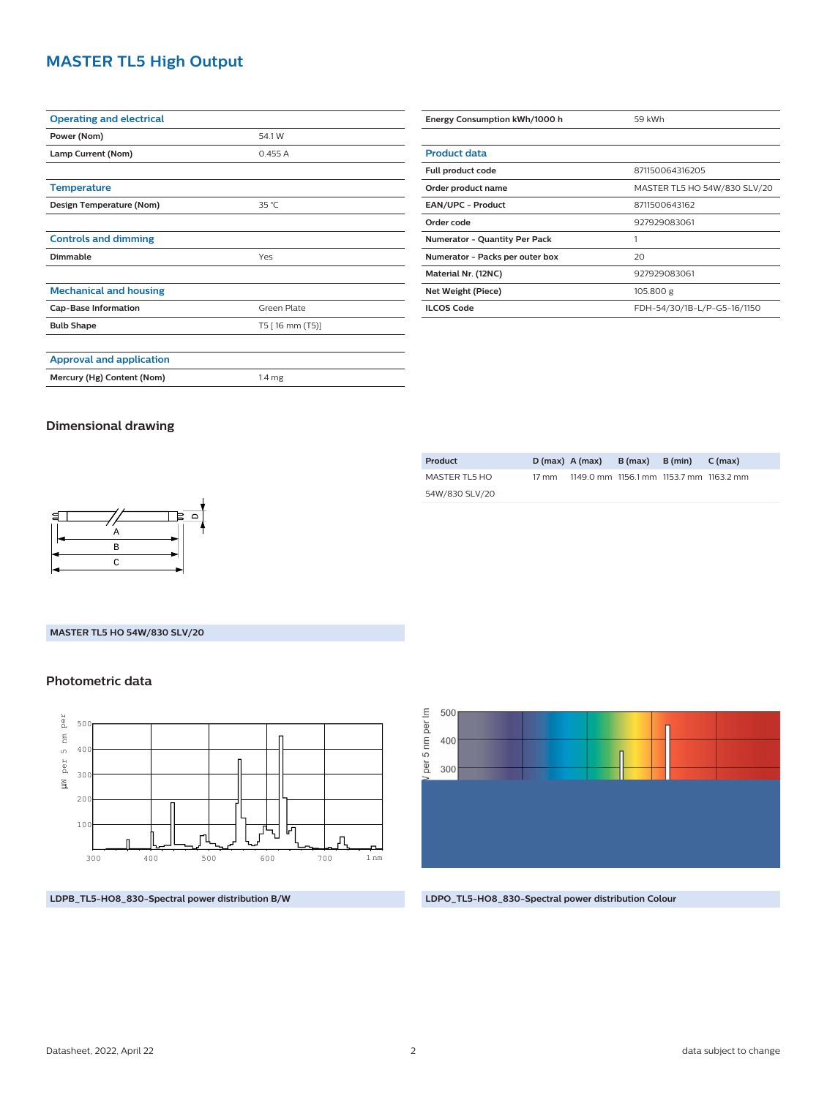# **MASTER TL5 High Output**

| <b>Operating and electrical</b> |                   |  |  |  |  |
|---------------------------------|-------------------|--|--|--|--|
| Power (Nom)                     | 54.1 W            |  |  |  |  |
| Lamp Current (Nom)              | 0.455A            |  |  |  |  |
|                                 |                   |  |  |  |  |
| <b>Temperature</b>              |                   |  |  |  |  |
| Design Temperature (Nom)        | 35 °C             |  |  |  |  |
|                                 |                   |  |  |  |  |
| <b>Controls and dimming</b>     |                   |  |  |  |  |
| Dimmable                        | Yes               |  |  |  |  |
|                                 |                   |  |  |  |  |
| <b>Mechanical and housing</b>   |                   |  |  |  |  |
| <b>Cap-Base Information</b>     | Green Plate       |  |  |  |  |
| <b>Bulb Shape</b>               | T5 [16 mm (T5)]   |  |  |  |  |
|                                 |                   |  |  |  |  |
| <b>Approval and application</b> |                   |  |  |  |  |
| Mercury (Hg) Content (Nom)      | 1.4 <sub>mg</sub> |  |  |  |  |

| Energy Consumption kWh/1000 h        | 59 kWh                       |  |  |
|--------------------------------------|------------------------------|--|--|
|                                      |                              |  |  |
| <b>Product data</b>                  |                              |  |  |
| Full product code                    | 871150064316205              |  |  |
| Order product name                   | MASTER TL5 HO 54W/830 SLV/20 |  |  |
| <b>EAN/UPC - Product</b>             | 8711500643162                |  |  |
| Order code                           | 927929083061                 |  |  |
| <b>Numerator - Quantity Per Pack</b> | 1                            |  |  |
| Numerator - Packs per outer box      | 20                           |  |  |
| Material Nr. (12NC)                  | 927929083061                 |  |  |
| Net Weight (Piece)                   | 105.800 g                    |  |  |
| <b>ILCOS Code</b>                    | FDH-54/30/1B-L/P-G5-16/1150  |  |  |

## **Dimensional drawing**

| Product        |       | $D(max)$ A (max)                        | $B(max)$ $B(min)$ $C(max)$ |  |
|----------------|-------|-----------------------------------------|----------------------------|--|
| MASTER TL5 HO  | 17 mm | 1149.0 mm 1156.1 mm 1153.7 mm 1163.2 mm |                            |  |
| 54W/830 SLV/20 |       |                                         |                            |  |
|                |       |                                         |                            |  |



#### **MASTER TL5 HO 54W/830 SLV/20**

### **Photometric data**